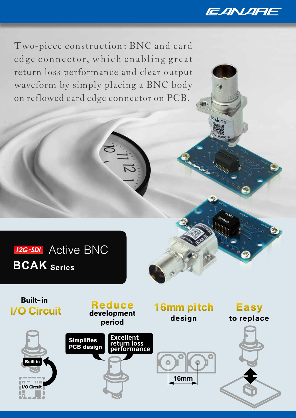

Two-piece construction: BNC and card edge connector, which enabling great return loss performance and clear output waveform by simply placing a BNC body on reflowed card edge connector on PCB.